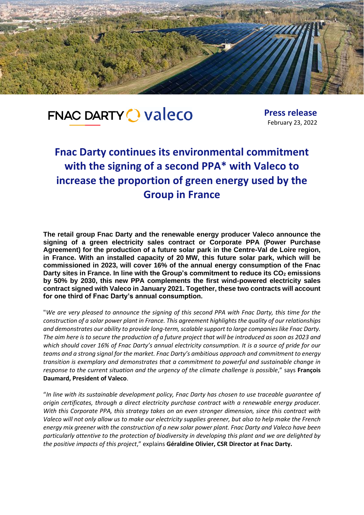

# **FNAC DARTY O Valeco**

**Press release** February 23, 2022

## **Fnac Darty continues its environmental commitment with the signing of a second PPA\* with Valeco to increase the proportion of green energy used by the Group in France**

**The retail group Fnac Darty and the renewable energy producer Valeco announce the signing of a green electricity sales contract or Corporate PPA (Power Purchase Agreement) for the production of a future solar park in the Centre-Val de Loire region, in France. With an installed capacity of 20 MW, this future solar park, which will be commissioned in 2023, will cover 16% of the annual energy consumption of the Fnac Darty sites in France. In line with the Group's commitment to reduce its CO<sub>2</sub> emissions by 50% by 2030, this new PPA complements the first wind-powered electricity sales contract signed with Valeco in January 2021. Together, these two contracts will account for one third of Fnac Darty's annual consumption.** 

"*We are very pleased to announce the signing of this second PPA with Fnac Darty, this time for the construction of a solar power plant in France. This agreement highlights the quality of our relationships and demonstrates our ability to provide long-term, scalable support to large companies like Fnac Darty. The aim here is to secure the production of a future project that will be introduced as soon as 2023 and which should cover 16% of Fnac Darty's annual electricity consumption. It is a source of pride for our teams and a strong signal for the market. Fnac Darty's ambitious approach and commitment to energy transition is exemplary and demonstrates that a commitment to powerful and sustainable change in response to the current situation and the urgency of the climate challenge is possible*," says **François Daumard, President of Valeco**.

"*In line with its sustainable development policy, Fnac Darty has chosen to use traceable guarantee of origin certificates, through a direct electricity purchase contract with a renewable energy producer. With this Corporate PPA, this strategy takes on an even stronger dimension, since this contract with Valeco will not only allow us to make our electricity supplies greener, but also to help make the French energy mix greener with the construction of a new solar power plant. Fnac Darty and Valeco have been particularly attentive to the protection of biodiversity in developing this plant and we are delighted by the positive impacts of this project*," explains **Géraldine Olivier, CSR Director at Fnac Darty.**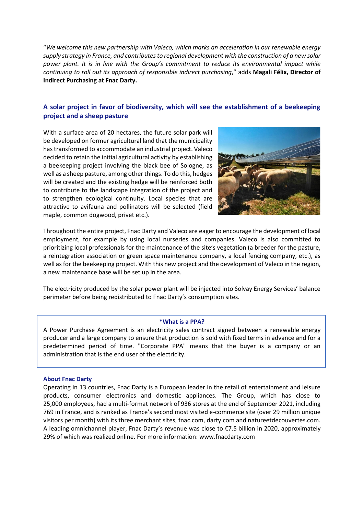"*We welcome this new partnership with Valeco, which marks an acceleration in our renewable energy supply strategy in France, and contributes to regional development with the construction of a new solar power plant. It is in line with the Group's commitment to reduce its environmental impact while continuing to roll out its approach of responsible indirect purchasing*," adds **Magali Félix, Director of Indirect Purchasing at Fnac Darty.**

### **A solar project in favor of biodiversity, which will see the establishment of a beekeeping project and a sheep pasture**

With a surface area of 20 hectares, the future solar park will be developed on former agricultural land that the municipality has transformed to accommodate an industrial project. Valeco decided to retain the initial agricultural activity by establishing a beekeeping project involving the black bee of Sologne, as well as a sheep pasture, among other things. To do this, hedges will be created and the existing hedge will be reinforced both to contribute to the landscape integration of the project and to strengthen ecological continuity. Local species that are attractive to avifauna and pollinators will be selected (field maple, common dogwood, privet etc.).



Throughout the entire project, Fnac Darty and Valeco are eager to encourage the development of local employment, for example by using local nurseries and companies. Valeco is also committed to prioritizing local professionals for the maintenance of the site's vegetation (a breeder for the pasture, a reintegration association or green space maintenance company, a local fencing company, etc.), as well as for the beekeeping project. With this new project and the development of Valeco in the region, a new maintenance base will be set up in the area.

The electricity produced by the solar power plant will be injected into Solvay Energy Services' balance perimeter before being redistributed to Fnac Darty's consumption sites.

#### **\*What is a PPA?**

A Power Purchase Agreement is an electricity sales contract signed between a renewable energy producer and a large company to ensure that production is sold with fixed terms in advance and for a predetermined period of time. "Corporate PPA" means that the buyer is a company or an administration that is the end user of the electricity.

#### **About Fnac Darty**

Operating in 13 countries, Fnac Darty is a European leader in the retail of entertainment and leisure products, consumer electronics and domestic appliances. The Group, which has close to 25,000 employees, had a multi-format network of 936 stores at the end of September 2021, including 769 in France, and is ranked as France's second most visited e-commerce site (over 29 million unique visitors per month) with its three merchant sites, fnac.com, darty.com and natureetdecouvertes.com. A leading omnichannel player, Fnac Darty's revenue was close to €7.5 billion in 2020, approximately 29% of which was realized online. For more information: [www.fnacdarty.com](https://eur02.safelinks.protection.outlook.com/?url=http://www.fnacdarty.com/&data=04|01|alexandra.redin@fnacdarty.com|efe2eee051a449f6031a08d9f2fdf3b5|ee736e01987f46aaa14479812f19df56|0|0|637807994784276598|Unknown|TWFpbGZsb3d8eyJWIjoiMC4wLjAwMDAiLCJQIjoiV2luMzIiLCJBTiI6Ik1haWwiLCJXVCI6Mn0=|3000&sdata=rZDccm+Gc8KuwCb6T7auhkrLpT24BblnDBYvbGPlb98=&reserved=0)